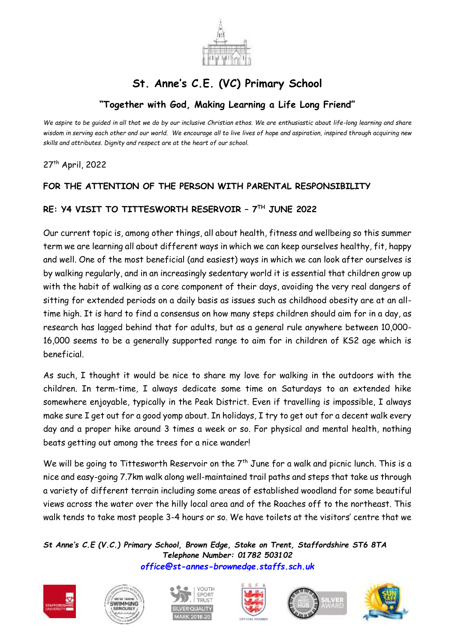

# **St. Anne's C.E. (VC) Primary School**

## **"Together with God, Making Learning a Life Long Friend"**

*We aspire to be guided in all that we do by our inclusive Christian ethos. We are enthusiastic about life-long learning and share wisdom in serving each other and our world. We encourage all to live lives of hope and aspiration, inspired through acquiring new skills and attributes. Dignity and respect are at the heart of our school.*

27 th April, 2022

### **FOR THE ATTENTION OF THE PERSON WITH PARENTAL RESPONSIBILITY**

#### **RE: Y4 VISIT TO TITTESWORTH RESERVOIR – 7 TH JUNE 2022**

Our current topic is, among other things, all about health, fitness and wellbeing so this summer term we are learning all about different ways in which we can keep ourselves healthy, fit, happy and well. One of the most beneficial (and easiest) ways in which we can look after ourselves is by walking regularly, and in an increasingly sedentary world it is essential that children grow up with the habit of walking as a core component of their days, avoiding the very real dangers of sitting for extended periods on a daily basis as issues such as childhood obesity are at an alltime high. It is hard to find a consensus on how many steps children should aim for in a day, as research has lagged behind that for adults, but as a general rule anywhere between 10,000- 16,000 seems to be a generally supported range to aim for in children of KS2 age which is beneficial.

As such, I thought it would be nice to share my love for walking in the outdoors with the children. In term-time, I always dedicate some time on Saturdays to an extended hike somewhere enjoyable, typically in the Peak District. Even if travelling is impossible, I always make sure I get out for a good yomp about. In holidays, I try to get out for a decent walk every day and a proper hike around 3 times a week or so. For physical and mental health, nothing beats getting out among the trees for a nice wander!

We will be going to Tittesworth Reservoir on the  $7<sup>th</sup>$  June for a walk and picnic lunch. This is a nice and easy-going 7.7km walk along well-maintained trail paths and steps that take us through a variety of different terrain including some areas of established woodland for some beautiful views across the water over the hilly local area and of the Roaches off to the northeast. This walk tends to take most people 3-4 hours or so. We have toilets at the visitors' centre that we

*St Anne's C.E (V.C.) Primary School, Brown Edge, Stoke on Trent, Staffordshire ST6 8TA Telephone Number: 01782 503102 [office@st-annes-brownedge.staffs.sch.uk](mailto:office@st-annes-brownedge.staffs.sch.uk)*











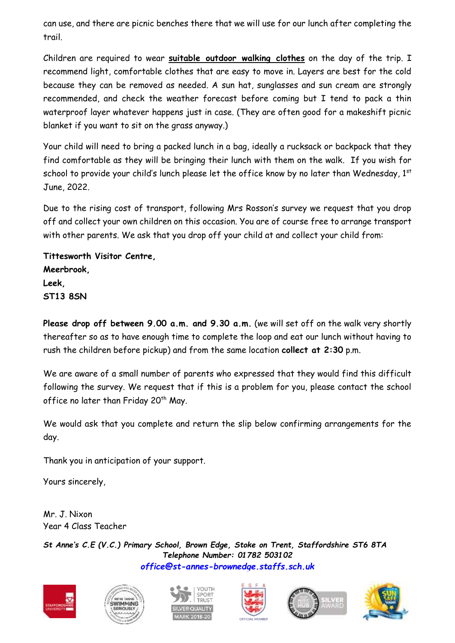can use, and there are picnic benches there that we will use for our lunch after completing the trail.

Children are required to wear **suitable outdoor walking clothes** on the day of the trip. I recommend light, comfortable clothes that are easy to move in. Layers are best for the cold because they can be removed as needed. A sun hat, sunglasses and sun cream are strongly recommended, and check the weather forecast before coming but I tend to pack a thin waterproof layer whatever happens just in case. (They are often good for a makeshift picnic blanket if you want to sit on the grass anyway.)

Your child will need to bring a packed lunch in a bag, ideally a rucksack or backpack that they find comfortable as they will be bringing their lunch with them on the walk. If you wish for school to provide your child's lunch please let the office know by no later than Wednesday,  $1<sup>st</sup>$ June, 2022.

Due to the rising cost of transport, following Mrs Rosson's survey we request that you drop off and collect your own children on this occasion. You are of course free to arrange transport with other parents. We ask that you drop off your child at and collect your child from:

**Tittesworth Visitor Centre, Meerbrook, Leek, ST13 8SN**

**Please drop off between 9.00 a.m. and 9.30 a.m.** (we will set off on the walk very shortly thereafter so as to have enough time to complete the loop and eat our lunch without having to rush the children before pickup) and from the same location **collect at 2:30** p.m.

We are aware of a small number of parents who expressed that they would find this difficult following the survey. We request that if this is a problem for you, please contact the school office no later than Friday 20<sup>th</sup> May.

We would ask that you complete and return the slip below confirming arrangements for the day.

Thank you in anticipation of your support.

Yours sincerely,

Mr. J. Nixon Year 4 Class Teacher

*St Anne's C.E (V.C.) Primary School, Brown Edge, Stoke on Trent, Staffordshire ST6 8TA Telephone Number: 01782 503102 [office@st-annes-brownedge.staffs.sch.uk](mailto:office@st-annes-brownedge.staffs.sch.uk)*